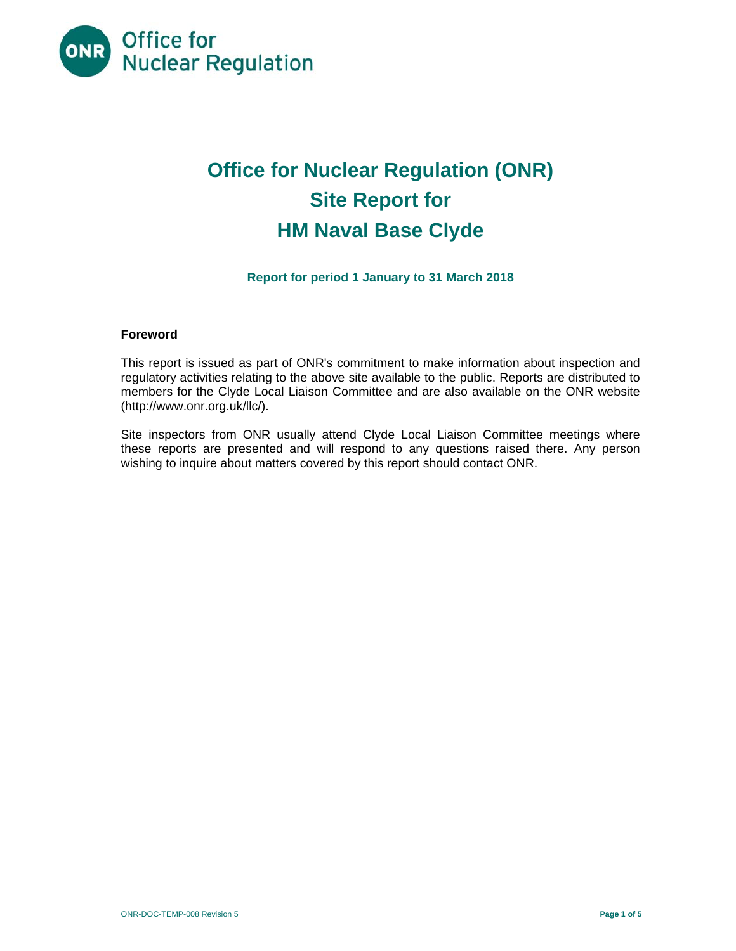

# **Office for Nuclear Regulation (ONR) Site Report for HM Naval Base Clyde**

# **Report for period 1 January to 31 March 2018**

# **Foreword**

This report is issued as part of ONR's commitment to make information about inspection and regulatory activities relating to the above site available to the public. Reports are distributed to members for the Clyde Local Liaison Committee and are also available on the ONR website (http://www.onr.org.uk/llc/).

Site inspectors from ONR usually attend Clyde Local Liaison Committee meetings where these reports are presented and will respond to any questions raised there. Any person wishing to inquire about matters covered by this report should contact ONR.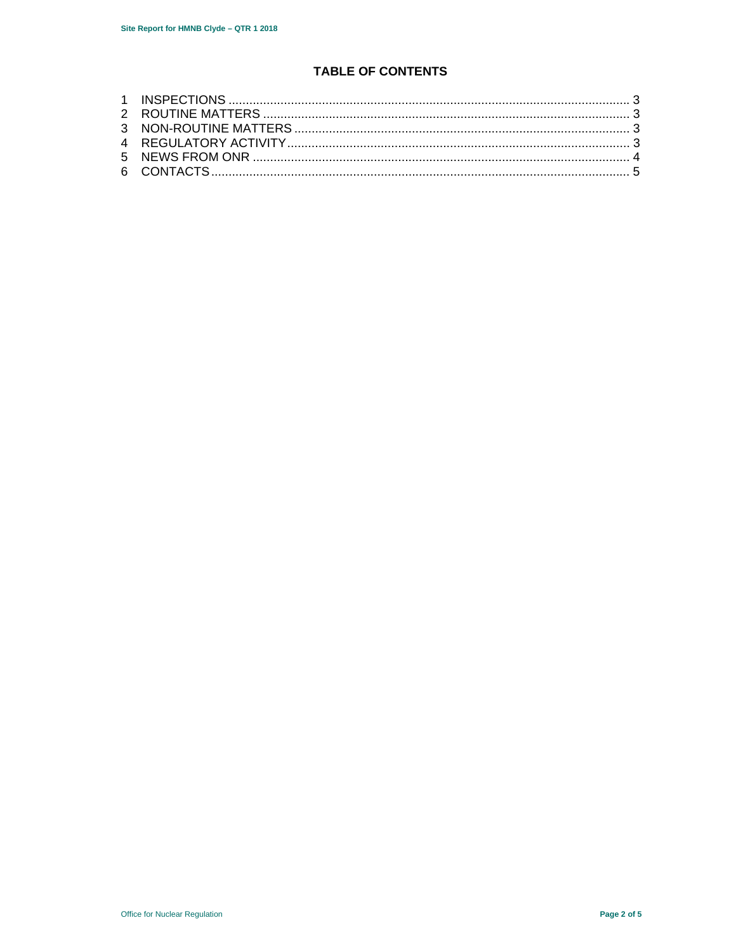# **TABLE OF CONTENTS**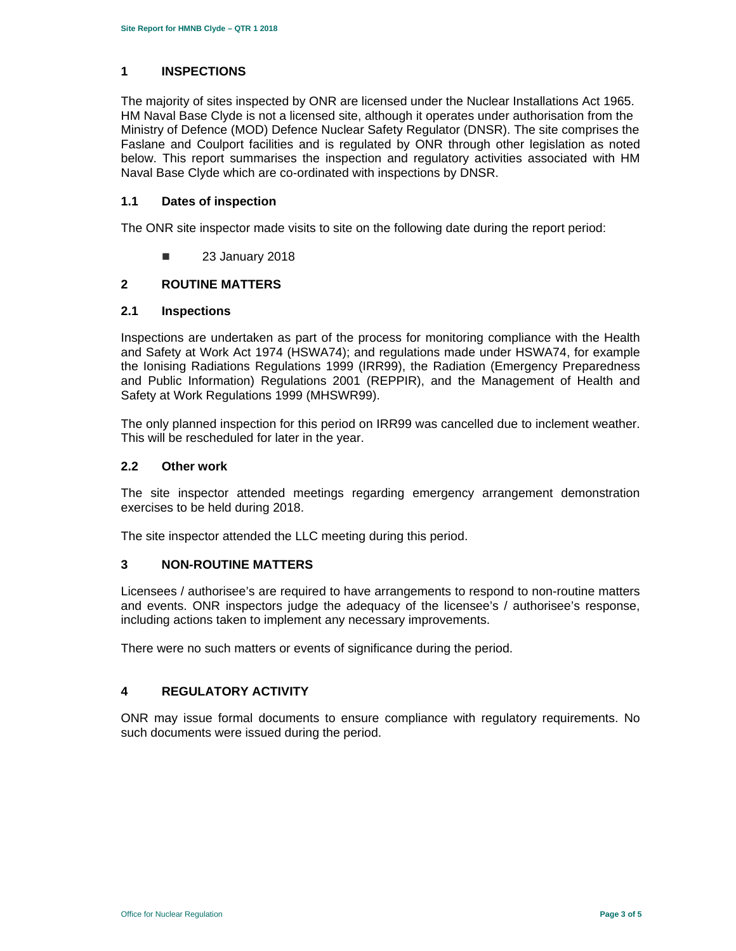# **1 INSPECTIONS**

The majority of sites inspected by ONR are licensed under the Nuclear Installations Act 1965. HM Naval Base Clyde is not a licensed site, although it operates under authorisation from the Ministry of Defence (MOD) Defence Nuclear Safety Regulator (DNSR). The site comprises the Faslane and Coulport facilities and is regulated by ONR through other legislation as noted below. This report summarises the inspection and regulatory activities associated with HM Naval Base Clyde which are co-ordinated with inspections by DNSR.

#### **1.1 Dates of inspection**

The ONR site inspector made visits to site on the following date during the report period:

**23 January 2018** 

# **2 ROUTINE MATTERS**

#### **2.1 Inspections**

Inspections are undertaken as part of the process for monitoring compliance with the Health and Safety at Work Act 1974 (HSWA74); and regulations made under HSWA74, for example the Ionising Radiations Regulations 1999 (IRR99), the Radiation (Emergency Preparedness and Public Information) Regulations 2001 (REPPIR), and the Management of Health and Safety at Work Regulations 1999 (MHSWR99).

The only planned inspection for this period on IRR99 was cancelled due to inclement weather. This will be rescheduled for later in the year.

#### **2.2 Other work**

The site inspector attended meetings regarding emergency arrangement demonstration exercises to be held during 2018.

The site inspector attended the LLC meeting during this period.

# **3 NON-ROUTINE MATTERS**

Licensees / authorisee's are required to have arrangements to respond to non-routine matters and events. ONR inspectors judge the adequacy of the licensee's / authorisee's response, including actions taken to implement any necessary improvements.

There were no such matters or events of significance during the period.

# **4 REGULATORY ACTIVITY**

ONR may issue formal documents to ensure compliance with regulatory requirements. No such documents were issued during the period.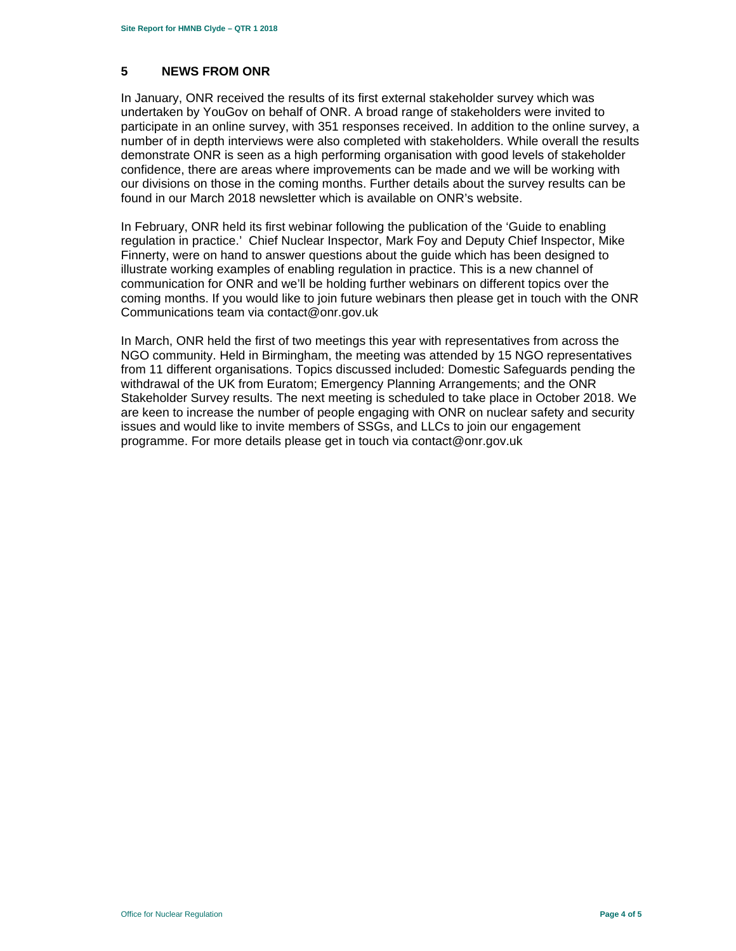# **5 NEWS FROM ONR**

In January, ONR received the results of its first external stakeholder survey which was undertaken by YouGov on behalf of ONR. A broad range of stakeholders were invited to participate in an online survey, with 351 responses received. In addition to the online survey, a number of in depth interviews were also completed with stakeholders. While overall the results demonstrate ONR is seen as a high performing organisation with good levels of stakeholder confidence, there are areas where improvements can be made and we will be working with our divisions on those in the coming months. Further details about the survey results can be found in our March 2018 newsletter which is available on ONR's website.

In February, ONR held its first webinar following the publication of the 'Guide to enabling regulation in practice.' Chief Nuclear Inspector, Mark Foy and Deputy Chief Inspector, Mike Finnerty, were on hand to answer questions about the guide which has been designed to illustrate working examples of enabling regulation in practice. This is a new channel of communication for ONR and we'll be holding further webinars on different topics over the coming months. If you would like to join future webinars then please get in touch with the ONR Communications team via contact@onr.gov.uk

In March, ONR held the first of two meetings this year with representatives from across the NGO community. Held in Birmingham, the meeting was attended by 15 NGO representatives from 11 different organisations. Topics discussed included: Domestic Safeguards pending the withdrawal of the UK from Euratom; Emergency Planning Arrangements; and the ONR Stakeholder Survey results. The next meeting is scheduled to take place in October 2018. We are keen to increase the number of people engaging with ONR on nuclear safety and security issues and would like to invite members of SSGs, and LLCs to join our engagement programme. For more details please get in touch via contact@onr.gov.uk